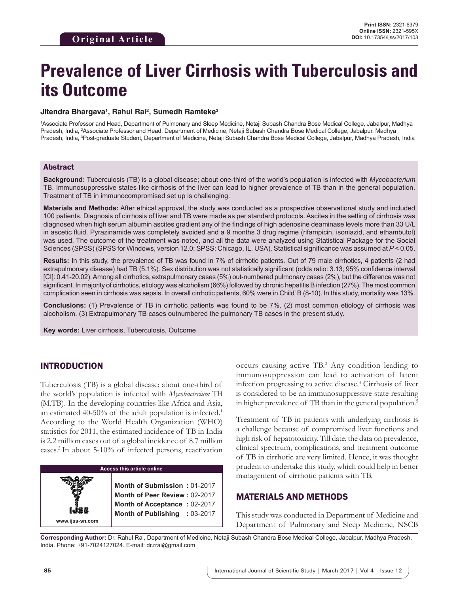# **Prevalence of Liver Cirrhosis with Tuberculosis and its Outcome**

#### **Jitendra Bhargava1 , Rahul Rai2 , Sumedh Ramteke3**

1 Associate Professor and Head, Department of Pulmonary and Sleep Medicine, Netaji Subash Chandra Bose Medical College, Jabalpur, Madhya Pradesh, India, <sup>2</sup>Associate Professor and Head, Department of Medicine, Netaji Subash Chandra Bose Medical College, Jabalpur, Madhya Pradesh, India, <sup>3</sup>Post-graduate Student, Department of Medicine, Netaji Subash Chandra Bose Medical College, Jabalpur, Madhya Pradesh, India

#### Abstract

**Background:** Tuberculosis (TB) is a global disease; about one-third of the world's population is infected with *Mycobacterium* TB. Immunosuppressive states like cirrhosis of the liver can lead to higher prevalence of TB than in the general population. Treatment of TB in immunocompromised set up is challenging.

**Materials and Methods:** After ethical approval, the study was conducted as a prospective observational study and included 100 patients. Diagnosis of cirrhosis of liver and TB were made as per standard protocols. Ascites in the setting of cirrhosis was diagnosed when high serum albumin ascites gradient any of the findings of high adenosine deaminase levels more than 33 U/L in ascetic fluid. Pyrazinamide was completely avoided and a 9 months 3 drug regime (rifampicin, isoniazid, and ethambutol) was used. The outcome of the treatment was noted, and all the data were analyzed using Statistical Package for the Social Sciences (SPSS) (SPSS for Windows, version 12.0; SPSS; Chicago, IL, USA). Statistical significance was assumed at *P* < 0.05.

**Results:** In this study, the prevalence of TB was found in 7% of cirrhotic patients. Out of 79 male cirrhotics, 4 patients (2 had extrapulmonary disease) had TB (5.1%). Sex distribution was not statistically significant (odds ratio: 3.13; 95% confidence interval [CI]: 0.41-20.02). Among all cirrhotics, extrapulmonary cases (5%) out-numbered pulmonary cases (2%), but the difference was not significant. In majority of cirrhotics, etiology was alcoholism (66%) followed by chronic hepatitis B infection (27%). The most common complication seen in cirrhosis was sepsis. In overall cirrhotic patients, 60% were in Child' B (8-10). In this study, mortality was 13%.

**Conclusions:** (1) Prevalence of TB in cirrhotic patients was found to be 7%, (2) most common etiology of cirrhosis was alcoholism. (3) Extrapulmonary TB cases outnumbered the pulmonary TB cases in the present study.

**Key words:** Liver cirrhosis, Tuberculosis, Outcome

# INTRODUCTION

Tuberculosis (TB) is a global disease; about one-third of the world's population is infected with *Mycobacterium* TB (M.TB). In the developing countries like Africa and Asia, an estimated 40-50% of the adult population is infected.1 According to the World Health Organization (WHO) statistics for 2011, the estimated incidence of TB in India is 2.2 million cases out of a global incidence of 8.7 million cases.2 In about 5-10% of infected persons, reactivation



occurs causing active TB.3 Any condition leading to immunosuppression can lead to activation of latent infection progressing to active disease.4 Cirrhosis of liver is considered to be an immunosuppressive state resulting in higher prevalence of TB than in the general population.<sup>5</sup>

Treatment of TB in patients with underlying cirrhosis is a challenge because of compromised liver functions and high risk of hepatotoxicity. Till date, the data on prevalence, clinical spectrum, complications, and treatment outcome of TB in cirrhotic are very limited. Hence, it was thought prudent to undertake this study, which could help in better management of cirrhotic patients with TB.

# MATERIALS AND METHODS

This study was conducted in Department of Medicine and Department of Pulmonary and Sleep Medicine, NSCB

**Corresponding Author:** Dr. Rahul Rai, Department of Medicine, Netaji Subash Chandra Bose Medical College, Jabalpur, Madhya Pradesh, India. Phone: +91-7024127024. E-mail: dr.rrai@gmail.com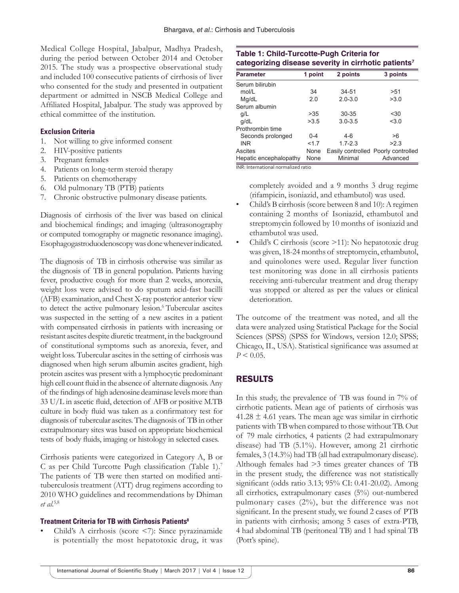Medical College Hospital, Jabalpur, Madhya Pradesh, during the period between October 2014 and October 2015. The study was a prospective observational study and included 100 consecutive patients of cirrhosis of liver who consented for the study and presented in outpatient department or admitted in NSCB Medical College and Affiliated Hospital, Jabalpur. The study was approved by ethical committee of the institution.

#### **Exclusion Criteria**

- 1. Not willing to give informed consent
- 2. HIV-positive patients
- 3. Pregnant females
- 4. Patients on long-term steroid therapy
- 5. Patients on chemotherapy
- 6. Old pulmonary TB (PTB) patients
- 7. Chronic obstructive pulmonary disease patients.

Diagnosis of cirrhosis of the liver was based on clinical and biochemical findings; and imaging (ultrasonography or computed tomography or magnetic resonance imaging). Esophagogastroduodenoscopy was done whenever indicated.

The diagnosis of TB in cirrhosis otherwise was similar as the diagnosis of TB in general population. Patients having fever, productive cough for more than 2 weeks, anorexia, weight loss were advised to do sputum acid-fast bacilli (AFB) examination, and Chest X-ray posterior anterior view to detect the active pulmonary lesion.6 Tubercular ascites was suspected in the setting of a new ascites in a patient with compensated cirrhosis in patients with increasing or resistant ascites despite diuretic treatment, in the background of constitutional symptoms such as anorexia, fever, and weight loss. Tubercular ascites in the setting of cirrhosis was diagnosed when high serum albumin ascites gradient, high protein ascites was present with a lymphocytic predominant high cell count fluid in the absence of alternate diagnosis. Any of the findings of high adenosine deaminase levels more than 33 U/L in ascetic fluid, detection of AFB or positive M.TB culture in body fluid was taken as a confirmatory test for diagnosis of tubercular ascites. The diagnosis of TB in other extrapulmonary sites was based on appropriate biochemical tests of body fluids, imaging or histology in selected cases.

Cirrhosis patients were categorized in Category A, B or C as per Child Turcotte Pugh classification (Table 1).<sup>7</sup> The patients of TB were then started on modified antituberculosis treatment (ATT) drug regimens according to 2010 WHO guidelines and recommendations by Dhiman *et al.*5,8

#### **Treatment Criteria for TB with Cirrhosis Patients8**

• Child's A cirrhosis (score <7): Since pyrazinamide is potentially the most hepatotoxic drug, it was

## **Table 1: Child‑Turcotte‑Pugh Criteria for categorizing disease severity in cirrhotic patients7**

| <b>Parameter</b>       | 1 point | 2 points    | 3 points                            |
|------------------------|---------|-------------|-------------------------------------|
| Serum bilirubin        |         |             |                                     |
| mol/L                  | 34      | 34-51       | >51                                 |
| Mg/dL                  | 2.0     | $2.0 - 3.0$ | >3.0                                |
| Serum albumin          |         |             |                                     |
| g/L                    | >35     | $30 - 35$   | $30$                                |
| g/dL                   | >3.5    | $3.0 - 3.5$ | < 3.0                               |
| Prothrombin time       |         |             |                                     |
| Seconds prolonged      | $0 - 4$ | $4-6$       | >6                                  |
| <b>INR</b>             | <17     | $1.7 - 2.3$ | >2.3                                |
| Ascites                | None    |             | Easily controlled Poorly controlled |
| Hepatic encephalopathy | None    | Minimal     | Advanced                            |

INR: International normalized ratio

completely avoided and a 9 months 3 drug regime (rifampicin, isoniazid, and ethambutol) was used.

- Child's B cirrhosis (score between 8 and 10): A regimen containing 2 months of Isoniazid, ethambutol and streptomycin followed by 10 months of isoniazid and ethambutol was used.
- Child's C cirrhosis (score >11): No hepatotoxic drug was given, 18-24 months of streptomycin, ethambutol, and quinolones were used. Regular liver function test monitoring was done in all cirrhosis patients receiving anti-tubercular treatment and drug therapy was stopped or altered as per the values or clinical deterioration.

The outcome of the treatment was noted, and all the data were analyzed using Statistical Package for the Social Sciences (SPSS) (SPSS for Windows, version 12.0; SPSS; Chicago, IL, USA). Statistical significance was assumed at  $P < 0.05$ .

# RESULTS

In this study, the prevalence of TB was found in 7% of cirrhotic patients. Mean age of patients of cirrhosis was  $41.28 \pm 4.61$  years. The mean age was similar in cirrhotic patients with TB when compared to those without TB. Out of 79 male cirrhotics, 4 patients (2 had extrapulmonary disease) had TB (5.1%). However, among 21 cirrhotic females, 3 (14.3%) had TB (all had extrapulmonary disease). Although females had >3 times greater chances of TB in the present study, the difference was not statistically significant (odds ratio 3.13; 95% CI: 0.41-20.02). Among all cirrhotics, extrapulmonary cases (5%) out-numbered pulmonary cases (2%), but the difference was not significant. In the present study, we found 2 cases of PTB in patients with cirrhosis; among 5 cases of extra-PTB, 4 had abdominal TB (peritoneal TB) and 1 had spinal TB (Pott's spine).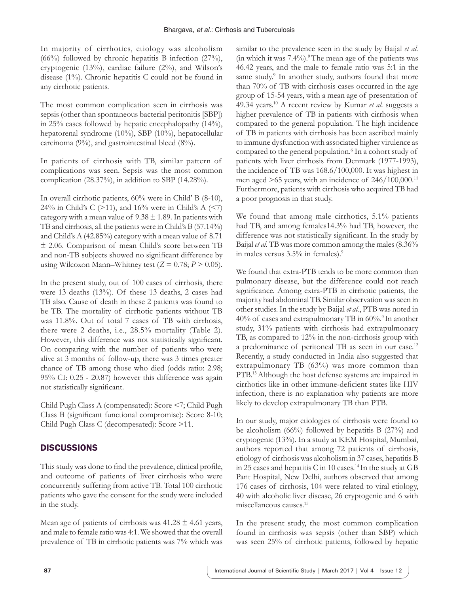In majority of cirrhotics, etiology was alcoholism (66%) followed by chronic hepatitis B infection (27%), cryptogenic (13%), cardiac failure (2%), and Wilson's disease (1%). Chronic hepatitis C could not be found in any cirrhotic patients.

The most common complication seen in cirrhosis was sepsis (other than spontaneous bacterial peritonitis [SBP]) in 25% cases followed by hepatic encephalopathy (14%), hepatorenal syndrome (10%), SBP (10%), hepatocellular carcinoma (9%), and gastrointestinal bleed (8%).

In patients of cirrhosis with TB, similar pattern of complications was seen. Sepsis was the most common complication (28.37%), in addition to SBP (14.28%).

In overall cirrhotic patients, 60% were in Child' B (8-10), 24% in Child's C ( $>11$ ), and 16% were in Child's A (<7) category with a mean value of  $9.38 \pm 1.89$ . In patients with TB and cirrhosis, all the patients were in Child's B (57.14%) and Child's A (42.85%) category with a mean value of 8.71 ± 2.06. Comparison of mean Child's score between TB and non-TB subjects showed no significant difference by using Wilcoxon Mann–Whitney test  $(Z = 0.78; P > 0.05)$ .

In the present study, out of 100 cases of cirrhosis, there were 13 deaths (13%). Of these 13 deaths, 2 cases had TB also. Cause of death in these 2 patients was found to be TB. The mortality of cirrhotic patients without TB was 11.8%. Out of total 7 cases of TB with cirrhosis, there were 2 deaths, i.e., 28.5% mortality (Table 2). However, this difference was not statistically significant. On comparing with the number of patients who were alive at 3 months of follow-up, there was 3 times greater chance of TB among those who died (odds ratio: 2.98; 95% CI: 0.25 - 20.87) however this difference was again not statistically significant.

Child Pugh Class A (compensated): Score <7; Child Pugh Class B (significant functional compromise): Score 8-10; Child Pugh Class C (decompesated): Score >11.

# DISCUSSIONS

This study was done to find the prevalence, clinical profile, and outcome of patients of liver cirrhosis who were concurrently suffering from active TB. Total 100 cirrhotic patients who gave the consent for the study were included in the study.

Mean age of patients of cirrhosis was  $41.28 \pm 4.61$  years, and male to female ratio was 4:1. We showed that the overall prevalence of TB in cirrhotic patients was 7% which was similar to the prevalence seen in the study by Baijal *et al.* (in which it was  $7.4\%$ ).<sup>9</sup> The mean age of the patients was 46.42 years, and the male to female ratio was 5:1 in the same study.<sup>9</sup> In another study, authors found that more than 70% of TB with cirrhosis cases occurred in the age group of 15-54 years, with a mean age of presentation of 49.34 years.10 A recent review by Kumar *et al.* suggests a higher prevalence of TB in patients with cirrhosis when compared to the general population. The high incidence of TB in patients with cirrhosis has been ascribed mainly to immune dysfunction with associated higher virulence as compared to the general population.<sup>6</sup> In a cohort study of patients with liver cirrhosis from Denmark (1977-1993), the incidence of TB was 168.6/100,000. It was highest in men aged  $>65$  years, with an incidence of  $246/100,000$ .<sup>11</sup> Furthermore, patients with cirrhosis who acquired TB had a poor prognosis in that study.

We found that among male cirrhotics, 5.1% patients had TB, and among females14.3% had TB, however, the difference was not statistically significant. In the study by Baijal *et al*. TB was more common among the males (8.36% in males versus 3.5% in females).9

We found that extra-PTB tends to be more common than pulmonary disease, but the difference could not reach significance. Among extra-PTB in cirrhotic patients, the majority had abdominal TB. Similar observation was seen in other studies. In the study by Baijal *et al.*, PTB was noted in  $40\%$  of cases and extrapulmonary TB in  $60\%$ .<sup>9</sup> In another study, 31% patients with cirrhosis had extrapulmonary TB, as compared to 12% in the non-cirrhosis group with a predominance of peritoneal TB as seen in our case.<sup>12</sup> Recently, a study conducted in India also suggested that extrapulmonary TB (63%) was more common than PTB.13 Although the host defense systems are impaired in cirrhotics like in other immune-deficient states like HIV infection, there is no explanation why patients are more likely to develop extrapulmonary TB than PTB.

In our study, major etiologies of cirrhosis were found to be alcoholism  $(66%)$  followed by hepatitis B  $(27%)$  and cryptogenic (13%). In a study at KEM Hospital, Mumbai, authors reported that among 72 patients of cirrhosis, etiology of cirrhosis was alcoholism in 37 cases, hepatitis B in 25 cases and hepatitis C in 10 cases.<sup>14</sup> In the study at GB Pant Hospital, New Delhi, authors observed that among 176 cases of cirrhosis, 104 were related to viral etiology, 40 with alcoholic liver disease, 26 cryptogenic and 6 with miscellaneous causes.15

In the present study, the most common complication found in cirrhosis was sepsis (other than SBP) which was seen 25% of cirrhotic patients, followed by hepatic